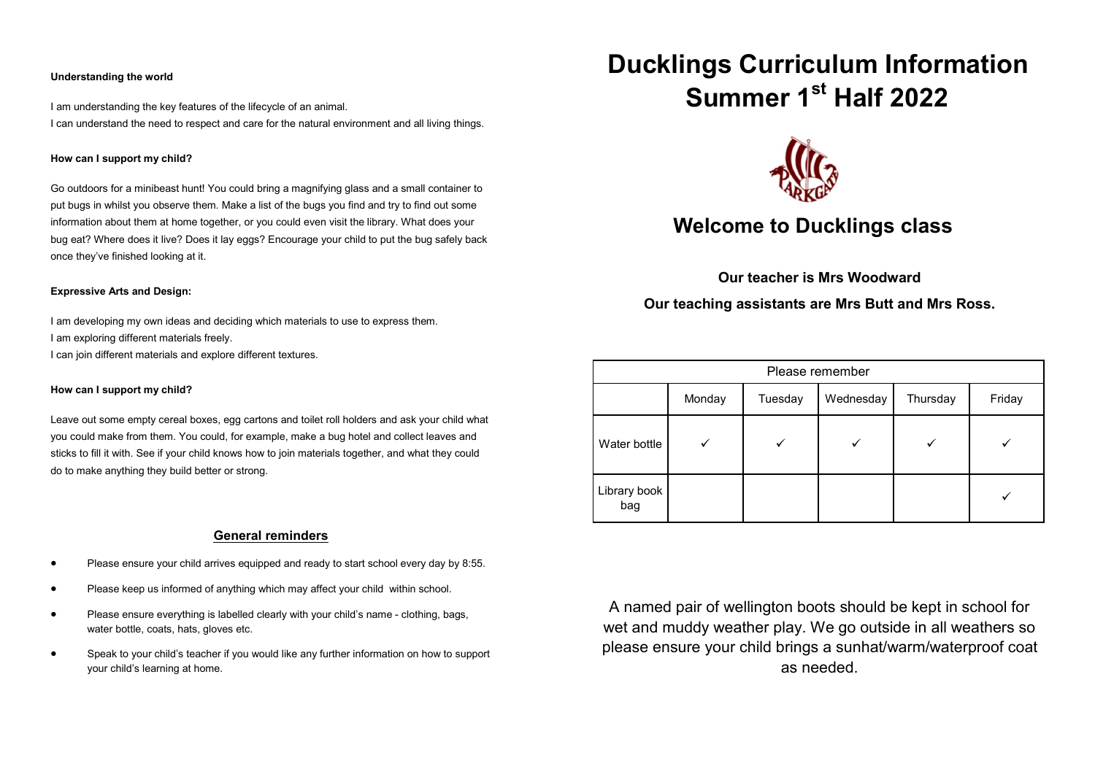#### **Understanding the world**

I am understanding the key features of the lifecycle of an animal. I can understand the need to respect and care for the natural environment and all living things.

# **How can I support my child?**

Go outdoors for a minibeast hunt! You could bring a magnifying glass and a small container to put bugs in whilst you observe them. Make a list of the bugs you find and try to find out some information about them at home together, or you could even visit the library. What does your bug eat? Where does it live? Does it lay eggs? Encourage your child to put the bug safely back once they've finished looking at it.

#### **Expressive Arts and Design:**

I am developing my own ideas and deciding which materials to use to express them. I am exploring different materials freely.

I can join different materials and explore different textures.

# **How can I support my child?**

Leave out some empty cereal boxes, egg cartons and toilet roll holders and ask your child what you could make from them. You could, for example, make a bug hotel and collect leaves and sticks to fill it with. See if your child knows how to join materials together, and what they could do to make anything they build better or strong.

# **General reminders**

- Please ensure your child arrives equipped and ready to start school every day by 8:55.
- Please keep us informed of anything which may affect your child within school.
- Please ensure everything is labelled clearly with your child's name clothing, bags, water bottle, coats, hats, gloves etc.
- Speak to your child's teacher if you would like any further information on how to support your child's learning at home.

# **Ducklings Curriculum Information Summer 1st Half 2022**



# **Welcome to Ducklings class**

**Our teacher is Mrs Woodward**

**Our teaching assistants are Mrs Butt and Mrs Ross.**

| Please remember     |        |         |           |          |        |
|---------------------|--------|---------|-----------|----------|--------|
|                     | Monday | Tuesday | Wednesday | Thursday | Friday |
| Water bottle        |        |         |           |          |        |
| Library book<br>bag |        |         |           |          |        |

A named pair of wellington boots should be kept in school for wet and muddy weather play. We go outside in all weathers so please ensure your child brings a sunhat/warm/waterproof coat as needed.